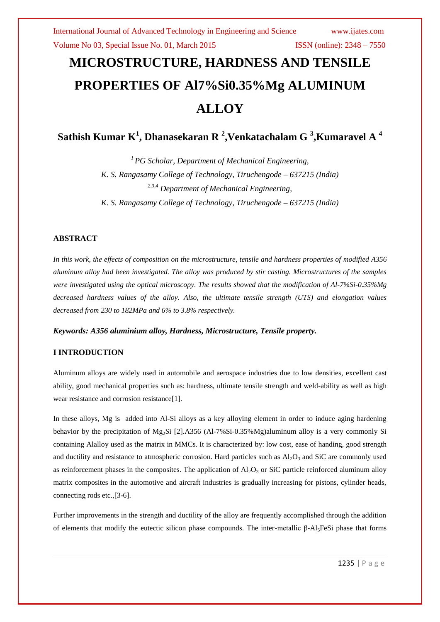# **MICROSTRUCTURE, HARDNESS AND TENSILE PROPERTIES OF Al7%Si0.35%Mg ALUMINUM ALLOY**

**Sathish Kumar K<sup>1</sup> , Dhanasekaran R <sup>2</sup> ,Venkatachalam G <sup>3</sup> ,Kumaravel A <sup>4</sup>**

*<sup>1</sup> PG Scholar, Department of Mechanical Engineering, K. S. Rangasamy College of Technology, Tiruchengode – 637215 (India) 2,3,4 Department of Mechanical Engineering, K. S. Rangasamy College of Technology, Tiruchengode – 637215 (India)*

# **ABSTRACT**

*In this work, the effects of composition on the microstructure, tensile and hardness properties of modified A356 aluminum alloy had been investigated. The alloy was produced by stir casting. Microstructures of the samples were investigated using the optical microscopy. The results showed that the modification of Al-7%Si-0.35%Mg decreased hardness values of the alloy. Also, the ultimate tensile strength (UTS) and elongation values decreased from 230 to 182MPa and 6% to 3.8% respectively.*

# *Keywords: A356 aluminium alloy, Hardness, Microstructure, Tensile property.*

# **I INTRODUCTION**

Aluminum alloys are widely used in automobile and aerospace industries due to low densities, excellent cast ability, good mechanical properties such as: hardness, ultimate tensile strength and weld-ability as well as high wear resistance and corrosion resistance[1].

In these alloys, Mg is added into Al-Si alloys as a key alloying element in order to induce aging hardening behavior by the precipitation of Mg2Si [2].A356 (Al-7%Si-0.35%Mg)aluminum alloy is a very commonly Si containing Alalloy used as the matrix in MMCs. It is characterized by: low cost, ease of handing, good strength and ductility and resistance to atmospheric corrosion. Hard particles such as  $Al_2O_3$  and SiC are commonly used as reinforcement phases in the composites. The application of  $Al_2O_3$  or SiC particle reinforced aluminum alloy matrix composites in the automotive and aircraft industries is gradually increasing for pistons, cylinder heads, connecting rods etc.,[3-6].

Further improvements in the strength and ductility of the alloy are frequently accomplished through the addition of elements that modify the eutectic silicon phase compounds. The inter-metallic β-Al5FeSi phase that forms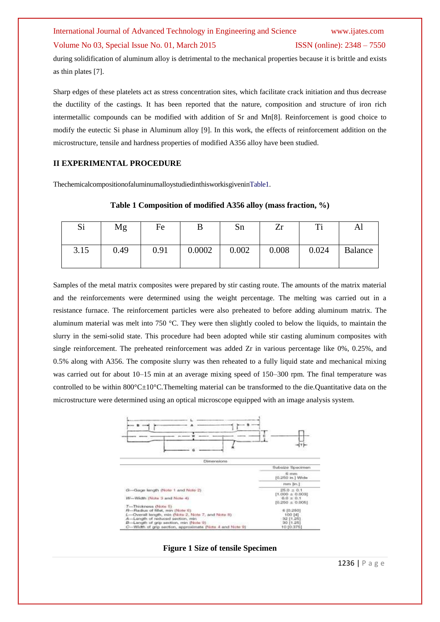# International Journal of Advanced Technology in Engineering and Science www.ijates.com Volume No 03, Special Issue No. 01, March 2015 ISSN (online): 2348 – 7550

during solidification of aluminum alloy is detrimental to the mechanical properties because it is brittle and exists as thin plates [7].

Sharp edges of these platelets act as stress concentration sites, which facilitate crack initiation and thus decrease the ductility of the castings. It has been reported that the nature, composition and structure of iron rich intermetallic compounds can be modified with addition of Sr and Mn[8]. Reinforcement is good choice to modify the eutectic Si phase in Aluminum alloy [9]. In this work, the effects of reinforcement addition on the microstructure, tensile and hardness properties of modified A356 alloy have been studied.

# **II EXPERIMENTAL PROCEDURE**

ThechemicalcompositionofaluminumalloystudiedinthisworkisgiveninTable1.

# **Table 1 Composition of modified A356 alloy (mass fraction, %)**

| Si   | Mg   | Fe   |        | Sn    | Zr    | ᠁     | Al             |
|------|------|------|--------|-------|-------|-------|----------------|
| 3.15 | 0.49 | 0.91 | 0.0002 | 0.002 | 0.008 | 0.024 | <b>Balance</b> |

Samples of the metal matrix composites were prepared by stir casting route. The amounts of the matrix material and the reinforcements were determined using the weight percentage. The melting was carried out in a resistance furnace. The reinforcement particles were also preheated to before adding aluminum matrix. The aluminum material was melt into 750 °C. They were then slightly cooled to below the liquids, to maintain the slurry in the semi-solid state. This procedure had been adopted while stir casting aluminum composites with single reinforcement. The preheated reinforcement was added Zr in various percentage like 0%, 0.25%, and 0.5% along with A356. The composite slurry was then reheated to a fully liquid state and mechanical mixing was carried out for about 10–15 min at an average mixing speed of 150–300 rpm. The final temperature was controlled to be within  $800^{\circ}$ C $\pm$ 10°C. Themelting material can be transformed to the die. Quantitative data on the microstructure were determined using an optical microscope equipped with an image analysis system.



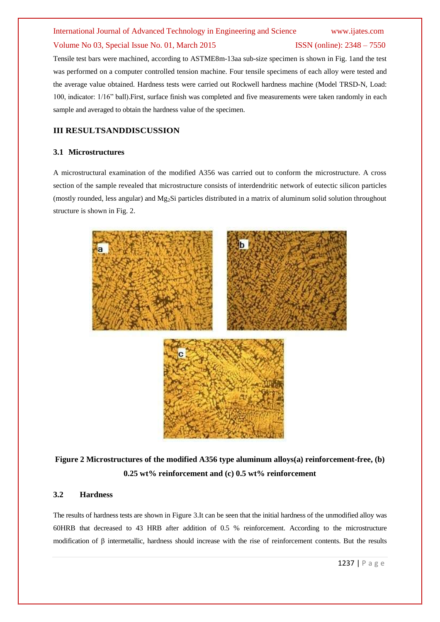# International Journal of Advanced Technology in Engineering and Science www.ijates.com

# Volume No 03, Special Issue No. 01, March 2015 ISSN (online): 2348 – 7550

Tensile test bars were machined, according to ASTME8m-13aa sub-size specimen is shown in Fig. 1and the test was performed on a computer controlled tension machine. Four tensile specimens of each alloy were tested and the average value obtained. Hardness tests were carried out Rockwell hardness machine (Model TRSD-N, Load: 100, indicator: 1/16" ball).First, surface finish was completed and five measurements were taken randomly in each sample and averaged to obtain the hardness value of the specimen.

# **III RESULTSANDDISCUSSION**

# **3.1 Microstructures**

A microstructural examination of the modified A356 was carried out to conform the microstructure. A cross section of the sample revealed that microstructure consists of interdendritic network of eutectic silicon particles (mostly rounded, less angular) and  $Mg_2Si$  particles distributed in a matrix of aluminum solid solution throughout structure is shown in Fig. 2.



**Figure 2 Microstructures of the modified A356 type aluminum alloys(a) reinforcement-free, (b) 0.25 wt% reinforcement and (c) 0.5 wt% reinforcement**

## **3.2 Hardness**

The results of hardness tests are shown in Figure 3.It can be seen that the initial hardness of the unmodified alloy was 60HRB that decreased to 43 HRB after addition of 0.5 % reinforcement. According to the microstructure modification of β intermetallic, hardness should increase with the rise of reinforcement contents. But the results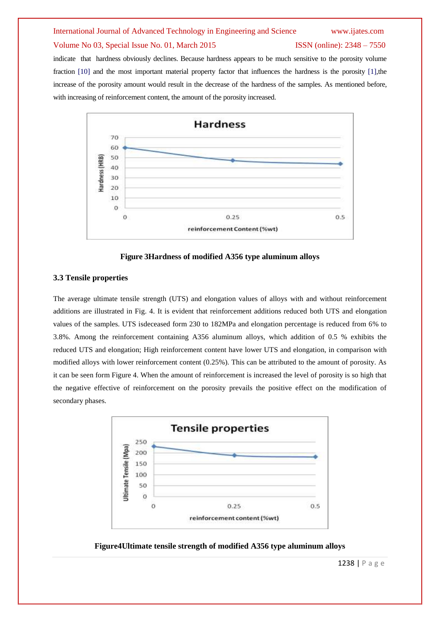# International Journal of Advanced Technology in Engineering and Science www.ijates.com

## Volume No 03, Special Issue No. 01, March 2015 ISSN (online): 2348 – 7550

indicate that hardness obviously declines. Because hardness appears to be much sensitive to the porosity volume fraction [10] and the most important material property factor that influences the hardness is the porosity [1],the increase of the porosity amount would result in the decrease of the hardness of the samples. As mentioned before, with increasing of reinforcement content, the amount of the porosity increased.



**Figure 3Hardness of modified A356 type aluminum alloys**

# **3.3 Tensile properties**

The average ultimate tensile strength (UTS) and elongation values of alloys with and without reinforcement additions are illustrated in Fig. 4. It is evident that reinforcement additions reduced both UTS and elongation values of the samples. UTS isdeceased form 230 to 182MPa and elongation percentage is reduced from 6% to 3.8%. Among the reinforcement containing A356 aluminum alloys, which addition of 0.5 % exhibits the reduced UTS and elongation; High reinforcement content have lower UTS and elongation, in comparison with modified alloys with lower reinforcement content (0.25%). This can be attributed to the amount of porosity. As it can be seen form Figure 4. When the amount of reinforcement is increased the level of porosity is so high that the negative effective of reinforcement on the porosity prevails the positive effect on the modification of secondary phases.



**Figure4Ultimate tensile strength of modified A356 type aluminum alloys**